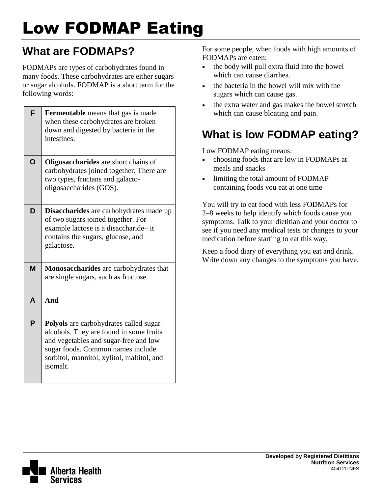# Low FODMAP Eating

# **What are FODMAPs?**

FODMAPs are types of carbohydrates found in many foods. These carbohydrates are either sugars or sugar alcohols. FODMAP is a short term for the following words:

| F | <b>Fermentable</b> means that gas is made<br>when these carbohydrates are broken<br>down and digested by bacteria in the<br>intestines.                                                                                          |
|---|----------------------------------------------------------------------------------------------------------------------------------------------------------------------------------------------------------------------------------|
| O | <b>Oligosaccharides</b> are short chains of<br>carbohydrates joined together. There are<br>two types, fructans and galacto-<br>oligosaccharides (GOS).                                                                           |
| D | Disaccharides are carbohydrates made up<br>of two sugars joined together. For<br>example lactose is a disaccharide-it<br>contains the sugars, glucose, and<br>galactose.                                                         |
| M | Monosaccharides are carbohydrates that<br>are single sugars, such as fructose.                                                                                                                                                   |
| A | And                                                                                                                                                                                                                              |
| P | <b>Polyols</b> are carbohydrates called sugar<br>alcohols. They are found in some fruits<br>and vegetables and sugar-free and low<br>sugar foods. Common names include<br>sorbitol, mannitol, xylitol, maltitol, and<br>isomalt. |

For some people, when foods with high amounts of FODMAPs are eaten:

- the body will pull extra fluid into the bowel which can cause diarrhea.
- the bacteria in the bowel will mix with the sugars which can cause gas.
- the extra water and gas makes the bowel stretch which can cause bloating and pain.

# **What is low FODMAP eating?**

Low FODMAP eating means:

- choosing foods that are low in FODMAPs at meals and snacks
- limiting the total amount of FODMAP containing foods you eat at one time

You will try to eat food with less FODMAPs for 2–8 weeks to help identify which foods cause you symptoms. Talk to your dietitian and your doctor to see if you need any medical tests or changes to your medication before starting to eat this way.

Keep a food diary of everything you eat and drink. Write down any changes to the symptoms you have.

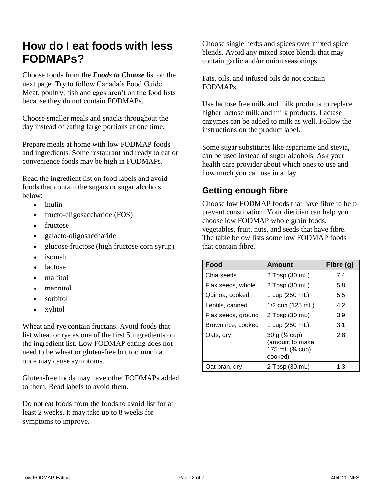### **How do I eat foods with less FODMAPs?**

Choose foods from the *Foods to Choose* list on the next page. Try to follow Canada's Food Guide. Meat, poultry, fish and eggs aren't on the food lists because they do not contain FODMAPs.

Choose smaller meals and snacks throughout the day instead of eating large portions at one time.

Prepare meals at home with low FODMAP foods and ingredients. Some restaurant and ready to eat or convenience foods may be high in FODMAPs.

Read the ingredient list on food labels and avoid foods that contain the sugars or sugar alcohols below:

- inulin
- fructo-oligosaccharide (FOS)
- fructose
- galacto-oligosaccharide
- glucose-fructose (high fructose corn syrup)
- isomalt
- lactose
- maltitol
- mannitol
- sorbitol
- xylitol

Wheat and rye contain fructans. Avoid foods that list wheat or rye as one of the first 5 ingredients on the ingredient list. Low FODMAP eating does not need to be wheat or gluten-free but too much at once may cause symptoms.

Gluten-free foods may have other FODMAPs added to them. Read labels to avoid them.

Do not eat foods from the foods to avoid list for at least 2 weeks. It may take up to 8 weeks for symptoms to improve.

Choose single herbs and spices over mixed spice blends. Avoid any mixed spice blends that may contain garlic and/or onion seasonings.

Fats, oils, and infused oils do not contain FODMAPs.

Use lactose free milk and milk products to replace higher lactose milk and milk products. Lactase enzymes can be added to milk as well. Follow the instructions on the product label.

Some sugar substitutes like aspartame and stevia, can be used instead of sugar alcohols. Ask your health care provider about which ones to use and how much you can use in a day.

#### **Getting enough fibre**

Choose low FODMAP foods that have fibre to help prevent constipation. Your dietitian can help you choose low FODMAP whole grain foods, vegetables, fruit, nuts, and seeds that have fibre. The table below lists some low FODMAP foods that contain fibre.

| Food               | <b>Amount</b>                                                              | Fibre (g) |
|--------------------|----------------------------------------------------------------------------|-----------|
| Chia seeds         | 2 Tbsp (30 mL)                                                             | 7.4       |
| Flax seeds, whole  | 2 Tbsp (30 mL)                                                             | 5.8       |
| Quinoa, cooked     | 1 cup (250 mL)                                                             | 5.5       |
| Lentils, canned    | 1/2 cup (125 mL)                                                           | 4.2       |
| Flax seeds, ground | 2 Tbsp (30 mL)                                                             | 3.9       |
| Brown rice, cooked | 1 cup (250 mL)                                                             | 3.1       |
| Oats, dry          | 30 g $(\frac{1}{3}$ cup)<br>(amount to make<br>175 mL (3/4 cup)<br>cooked) | 2.8       |
| Oat bran, dry      | 2 Tbsp (30 mL)                                                             | 1.3       |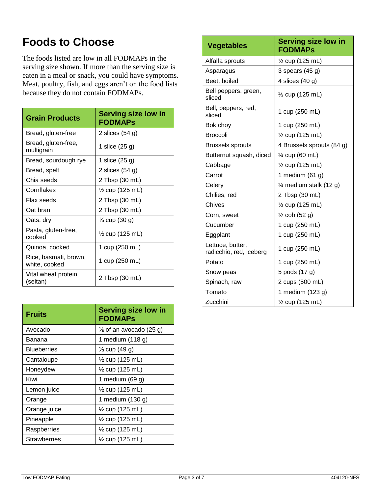# **Foods to Choose**

The foods listed are low in all FODMAPs in the serving size shown. If more than the serving size is eaten in a meal or snack, you could have symptoms. Meat, poultry, fish, and eggs aren't on the food lists because they do not contain FODMAPs.

| <b>Grain Products</b>                  | <b>Serving size low in</b><br><b>FODMAPS</b> |  |  |  |
|----------------------------------------|----------------------------------------------|--|--|--|
| Bread, gluten-free                     | 2 slices $(54 g)$                            |  |  |  |
| Bread, gluten-free,<br>multigrain      | 1 slice (25 g)                               |  |  |  |
| Bread, sourdough rye                   | 1 slice (25 g)                               |  |  |  |
| Bread, spelt                           | 2 slices $(54 g)$                            |  |  |  |
| Chia seeds                             | 2 Tbsp (30 mL)                               |  |  |  |
| Cornflakes                             | $\frac{1}{2}$ cup (125 mL)                   |  |  |  |
| Flax seeds                             | 2 Tbsp (30 mL)                               |  |  |  |
| Oat bran                               | 2 Tbsp (30 mL)                               |  |  |  |
| Oats, dry                              | $\frac{1}{3}$ cup (30 g)                     |  |  |  |
| Pasta, gluten-free,<br>cooked          | $\frac{1}{2}$ cup (125 mL)                   |  |  |  |
| Quinoa, cooked                         | 1 cup (250 mL)                               |  |  |  |
| Rice, basmati, brown,<br>white, cooked | 1 cup (250 mL)                               |  |  |  |
| Vital wheat protein<br>(seitan)        | 2 Tbsp (30 mL)                               |  |  |  |

| <b>Fruits</b>       | <b>Serving size low in</b><br><b>FODMAPS</b> |  |  |  |
|---------------------|----------------------------------------------|--|--|--|
| Avocado             | $\frac{1}{8}$ of an avocado (25 g)           |  |  |  |
| Banana              | 1 medium (118 g)                             |  |  |  |
| <b>Blueberries</b>  | $\frac{1}{3}$ cup (49 g)                     |  |  |  |
| Cantaloupe          | 1/ <sub>2</sub> cup (125 mL)                 |  |  |  |
| Honeydew            | 1/ <sub>2</sub> cup (125 mL)                 |  |  |  |
| Kiwi                | 1 medium (69 g)                              |  |  |  |
| Lemon juice         | $\frac{1}{2}$ cup (125 mL)                   |  |  |  |
| Orange              | 1 medium (130 g)                             |  |  |  |
| Orange juice        | 1/ <sub>2</sub> cup (125 mL)                 |  |  |  |
| Pineapple           | $\frac{1}{2}$ cup (125 mL)                   |  |  |  |
| Raspberries         | $\frac{1}{2}$ cup (125 mL)                   |  |  |  |
| <b>Strawberries</b> | $\frac{1}{2}$ cup (125 mL)                   |  |  |  |

| <b>Vegetables</b>                           | <b>Serving size low in</b><br><b>FODMAPS</b> |  |  |  |
|---------------------------------------------|----------------------------------------------|--|--|--|
| Alfalfa sprouts                             | 1/ <sub>2</sub> cup (125 mL)                 |  |  |  |
| Asparagus                                   | 3 spears $(45 g)$                            |  |  |  |
| Beet, boiled                                | 4 slices (40 g)                              |  |  |  |
| Bell peppers, green,<br>sliced              | 1/ <sub>2</sub> cup (125 mL)                 |  |  |  |
| Bell, peppers, red,<br>sliced               | 1 cup (250 mL)                               |  |  |  |
| Bok choy                                    | 1 cup (250 mL)                               |  |  |  |
| <b>Broccoli</b>                             | 1/ <sub>2</sub> cup (125 mL)                 |  |  |  |
| <b>Brussels sprouts</b>                     | 4 Brussels sprouts (84 g)                    |  |  |  |
| Butternut squash, diced                     | 1⁄4 cup (60 mL)                              |  |  |  |
| Cabbage                                     | $\frac{1}{2}$ cup (125 mL)                   |  |  |  |
| Carrot                                      | 1 medium (61 g)                              |  |  |  |
| Celery                                      | $\frac{1}{4}$ medium stalk (12 g)            |  |  |  |
| Chilies, red                                | 2 Tbsp (30 mL)                               |  |  |  |
| Chives                                      | $\frac{1}{2}$ cup (125 mL)                   |  |  |  |
| Corn, sweet                                 | $\frac{1}{2}$ cob (52 g)                     |  |  |  |
| Cucumber                                    | 1 cup (250 mL)                               |  |  |  |
| Eggplant                                    | 1 cup (250 mL)                               |  |  |  |
| Lettuce, butter,<br>radicchio, red, iceberg | 1 cup (250 mL)                               |  |  |  |
| Potato                                      | 1 cup (250 mL)                               |  |  |  |
| Snow peas                                   | 5 pods (17 g)                                |  |  |  |
| Spinach, raw                                | 2 cups (500 mL)                              |  |  |  |
| Tomato                                      | 1 medium (123 g)                             |  |  |  |
| Zucchini                                    | 1/ <sub>2</sub> cup (125 mL)                 |  |  |  |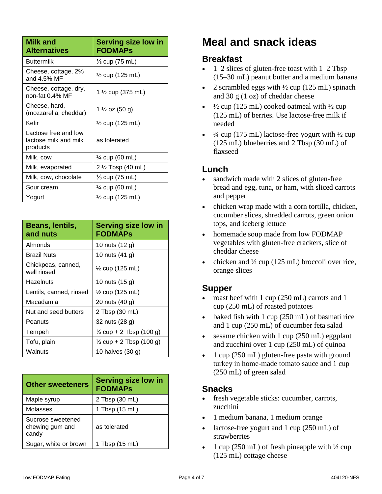| <b>Milk and</b><br><b>Alternatives</b>                    | <b>Serving size low in</b><br><b>FODMAPs</b> |
|-----------------------------------------------------------|----------------------------------------------|
| <b>Buttermilk</b>                                         | $\frac{1}{3}$ cup (75 mL)                    |
| Cheese, cottage, 2%<br>and 4.5% MF                        | ½ cup (125 mL)                               |
| Cheese, cottage, dry,<br>non-fat 0.4% MF                  | 1 ½ cup (375 mL)                             |
| Cheese, hard,<br>(mozzarella, cheddar)                    | 1 ½ oz (50 g)                                |
| Kefir                                                     | $\frac{1}{2}$ cup (125 mL)                   |
| Lactose free and low<br>lactose milk and milk<br>products | as tolerated                                 |
| Milk, cow                                                 | ¼ cup (60 mL)                                |
| Milk, evaporated                                          | 2 ½ Tbsp (40 mL)                             |
| Milk, cow, chocolate                                      | $\frac{1}{3}$ cup (75 mL)                    |
| Sour cream                                                | 1⁄4 cup (60 mL)                              |
| Yogurt                                                    | $\frac{1}{2}$ cup (125 mL)                   |

| Beans, lentils,<br>and nuts       | <b>Serving size low in</b><br><b>FODMAPS</b> |
|-----------------------------------|----------------------------------------------|
| Almonds                           | 10 nuts (12 g)                               |
| <b>Brazil Nuts</b>                | 10 nuts (41 g)                               |
| Chickpeas, canned,<br>well rinsed | $\frac{1}{2}$ cup (125 mL)                   |
| Hazelnuts                         | 10 nuts (15 g)                               |
| Lentils, canned, rinsed           | $\frac{1}{2}$ cup (125 mL)                   |
| Macadamia                         | 20 nuts (40 g)                               |
| Nut and seed butters              | 2 Tbsp (30 mL)                               |
| Peanuts                           | 32 nuts (28 g)                               |
| Tempeh                            | $\frac{1}{3}$ cup + 2 Tbsp (100 g)           |
| Tofu, plain                       | $\frac{1}{3}$ cup + 2 Tbsp (100 g)           |
| Walnuts                           | 10 halves (30 g)                             |

| <b>Other sweeteners</b>                       | <b>Serving size low in</b><br><b>FODMAPS</b> |
|-----------------------------------------------|----------------------------------------------|
| Maple syrup                                   | 2 Tbsp (30 mL)                               |
| Molasses                                      | 1 Tbsp (15 mL)                               |
| Sucrose sweetened<br>chewing gum and<br>candy | as tolerated                                 |
| Sugar, white or brown                         | 1 Tbsp (15 mL)                               |

## **Meal and snack ideas**

#### **Breakfast**

- $\bullet$  1–2 slices of gluten-free toast with 1–2 Tbsp (15–30 mL) peanut butter and a medium banana
- 2 scrambled eggs with ½ cup (125 mL) spinach and 30 g (1 oz) of cheddar cheese
- $\frac{1}{2}$  cup (125 mL) cooked oatmeal with  $\frac{1}{2}$  cup (125 mL) of berries. Use lactose-free milk if needed
- $\frac{3}{4}$  cup (175 mL) lactose-free yogurt with  $\frac{1}{2}$  cup (125 mL) blueberries and 2 Tbsp (30 mL) of flaxseed

#### **Lunch**

- sandwich made with 2 slices of gluten-free bread and egg, tuna, or ham, with sliced carrots and pepper
- chicken wrap made with a corn tortilla, chicken, cucumber slices, shredded carrots, green onion tops, and iceberg lettuce
- homemade soup made from low FODMAP vegetables with gluten-free crackers, slice of cheddar cheese
- chicken and ½ cup (125 mL) broccoli over rice, orange slices

#### **Supper**

- roast beef with 1 cup (250 mL) carrots and 1 cup (250 mL) of roasted potatoes
- $\bullet$  baked fish with 1 cup (250 mL) of basmati rice and 1 cup (250 mL) of cucumber feta salad
- sesame chicken with 1 cup (250 mL) eggplant and zucchini over 1 cup (250 mL) of quinoa
- $\bullet$  1 cup (250 mL) gluten-free pasta with ground turkey in home-made tomato sauce and 1 cup (250 mL) of green salad

#### **Snacks**

- fresh vegetable sticks: cucumber, carrots, zucchini
- 1 medium banana, 1 medium orange
- lactose-free yogurt and 1 cup (250 mL) of strawberries
- 1 cup (250 mL) of fresh pineapple with ½ cup (125 mL) cottage cheese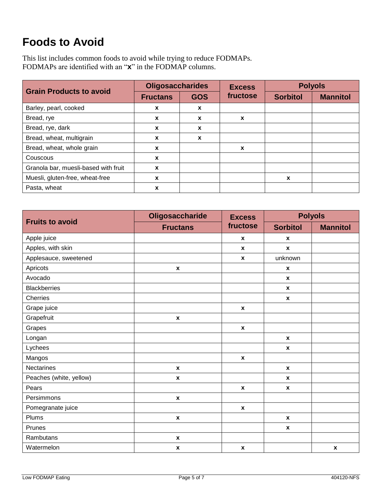# **Foods to Avoid**

This list includes common foods to avoid while trying to reduce FODMAPs. FODMAPs are identified with an "**x**" in the FODMAP columns.

| <b>Grain Products to avoid</b>       | <b>Oligosaccharides</b> |              | <b>Excess</b> | <b>Polyols</b>  |                 |
|--------------------------------------|-------------------------|--------------|---------------|-----------------|-----------------|
|                                      | <b>Fructans</b>         | <b>GOS</b>   | fructose      | <b>Sorbitol</b> | <b>Mannitol</b> |
| Barley, pearl, cooked                | X                       | X            |               |                 |                 |
| Bread, rye                           | X                       | X            | X             |                 |                 |
| Bread, rye, dark                     | X                       | $\mathbf{x}$ |               |                 |                 |
| Bread, wheat, multigrain             | X                       | X            |               |                 |                 |
| Bread, wheat, whole grain            | X                       |              | X             |                 |                 |
| Couscous                             | X                       |              |               |                 |                 |
| Granola bar, muesli-based with fruit | X                       |              |               |                 |                 |
| Muesli, gluten-free, wheat-free      | X                       |              |               | X               |                 |
| Pasta, wheat                         | X                       |              |               |                 |                 |

|                         | Oligosaccharide    | <b>Excess</b>      | <b>Polyols</b>     |                    |  |
|-------------------------|--------------------|--------------------|--------------------|--------------------|--|
| <b>Fruits to avoid</b>  | <b>Fructans</b>    | fructose           | <b>Sorbitol</b>    | <b>Mannitol</b>    |  |
| Apple juice             |                    | $\pmb{\chi}$       | $\pmb{\chi}$       |                    |  |
| Apples, with skin       |                    | $\mathbf{x}$       | $\pmb{\chi}$       |                    |  |
| Applesauce, sweetened   |                    | $\boldsymbol{x}$   | unknown            |                    |  |
| Apricots                | $\pmb{\chi}$       |                    | $\pmb{\chi}$       |                    |  |
| Avocado                 |                    |                    | $\mathbf{x}$       |                    |  |
| <b>Blackberries</b>     |                    |                    | $\pmb{\chi}$       |                    |  |
| Cherries                |                    |                    | $\mathbf{x}$       |                    |  |
| Grape juice             |                    | $\boldsymbol{x}$   |                    |                    |  |
| Grapefruit              | $\pmb{\chi}$       |                    |                    |                    |  |
| Grapes                  |                    | $\boldsymbol{x}$   |                    |                    |  |
| Longan                  |                    |                    | $\mathbf{x}$       |                    |  |
| Lychees                 |                    |                    | $\mathbf{x}$       |                    |  |
| Mangos                  |                    | $\boldsymbol{x}$   |                    |                    |  |
| Nectarines              | $\pmb{\mathsf{x}}$ |                    | $\pmb{\mathsf{x}}$ |                    |  |
| Peaches (white, yellow) | X                  |                    | $\pmb{\chi}$       |                    |  |
| Pears                   |                    | X                  | $\pmb{\chi}$       |                    |  |
| Persimmons              | $\pmb{\mathsf{x}}$ |                    |                    |                    |  |
| Pomegranate juice       |                    | $\mathbf{x}$       |                    |                    |  |
| Plums                   | $\pmb{\mathsf{x}}$ |                    | $\boldsymbol{x}$   |                    |  |
| Prunes                  |                    |                    | $\boldsymbol{x}$   |                    |  |
| Rambutans               | $\pmb{\mathsf{x}}$ |                    |                    |                    |  |
| Watermelon              | $\pmb{\mathsf{x}}$ | $\pmb{\mathsf{x}}$ |                    | $\pmb{\mathsf{x}}$ |  |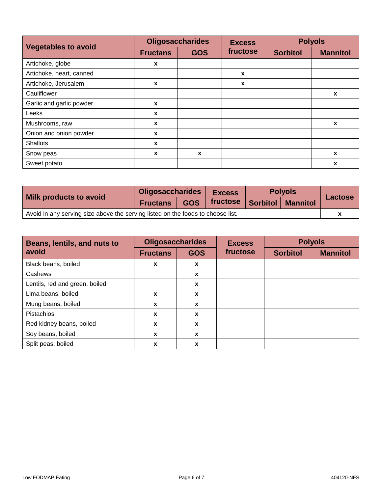|                            | <b>Oligosaccharides</b> |            | <b>Excess</b> | <b>Polyols</b>  |                 |
|----------------------------|-------------------------|------------|---------------|-----------------|-----------------|
| <b>Vegetables to avoid</b> | <b>Fructans</b>         | <b>GOS</b> | fructose      | <b>Sorbitol</b> | <b>Mannitol</b> |
| Artichoke, globe           | X                       |            |               |                 |                 |
| Artichoke, heart, canned   |                         |            | $\mathbf{x}$  |                 |                 |
| Artichoke, Jerusalem       | X                       |            | X             |                 |                 |
| Cauliflower                |                         |            |               |                 | X               |
| Garlic and garlic powder   | $\boldsymbol{x}$        |            |               |                 |                 |
| Leeks                      | X                       |            |               |                 |                 |
| Mushrooms, raw             | X                       |            |               |                 | X               |
| Onion and onion powder     | X                       |            |               |                 |                 |
| <b>Shallots</b>            | $\boldsymbol{x}$        |            |               |                 |                 |
| Snow peas                  | X                       | X          |               |                 | X               |
| Sweet potato               |                         |            |               |                 | x               |

| Milk products to avoid                                                          | <b>Oligosaccharides</b> |            | <b>Excess</b> |                 | <b>Polyols</b>  | <b>Lactose</b> |
|---------------------------------------------------------------------------------|-------------------------|------------|---------------|-----------------|-----------------|----------------|
|                                                                                 | <b>Fructans</b>         | <b>GOS</b> | fructose      | <b>Sorbitol</b> | <b>Mannitol</b> |                |
| Avoid in any serving size above the serving listed on the foods to choose list. |                         |            |               |                 |                 |                |

| Beans, lentils, and nuts to<br>avoid | <b>Oligosaccharides</b> |                  | <b>Excess</b> | <b>Polyols</b>  |                 |
|--------------------------------------|-------------------------|------------------|---------------|-----------------|-----------------|
|                                      | <b>Fructans</b>         | <b>GOS</b>       | fructose      | <b>Sorbitol</b> | <b>Mannitol</b> |
| Black beans, boiled                  | X                       | $\boldsymbol{x}$ |               |                 |                 |
| Cashews                              |                         | X                |               |                 |                 |
| Lentils, red and green, boiled       |                         | $\mathbf x$      |               |                 |                 |
| Lima beans, boiled                   | $\boldsymbol{x}$        | $\mathbf{x}$     |               |                 |                 |
| Mung beans, boiled                   | X                       | $\mathbf x$      |               |                 |                 |
| Pistachios                           | X                       | $\mathbf x$      |               |                 |                 |
| Red kidney beans, boiled             | X                       | $\mathbf x$      |               |                 |                 |
| Soy beans, boiled                    | X                       | X                |               |                 |                 |
| Split peas, boiled                   | X                       | X                |               |                 |                 |